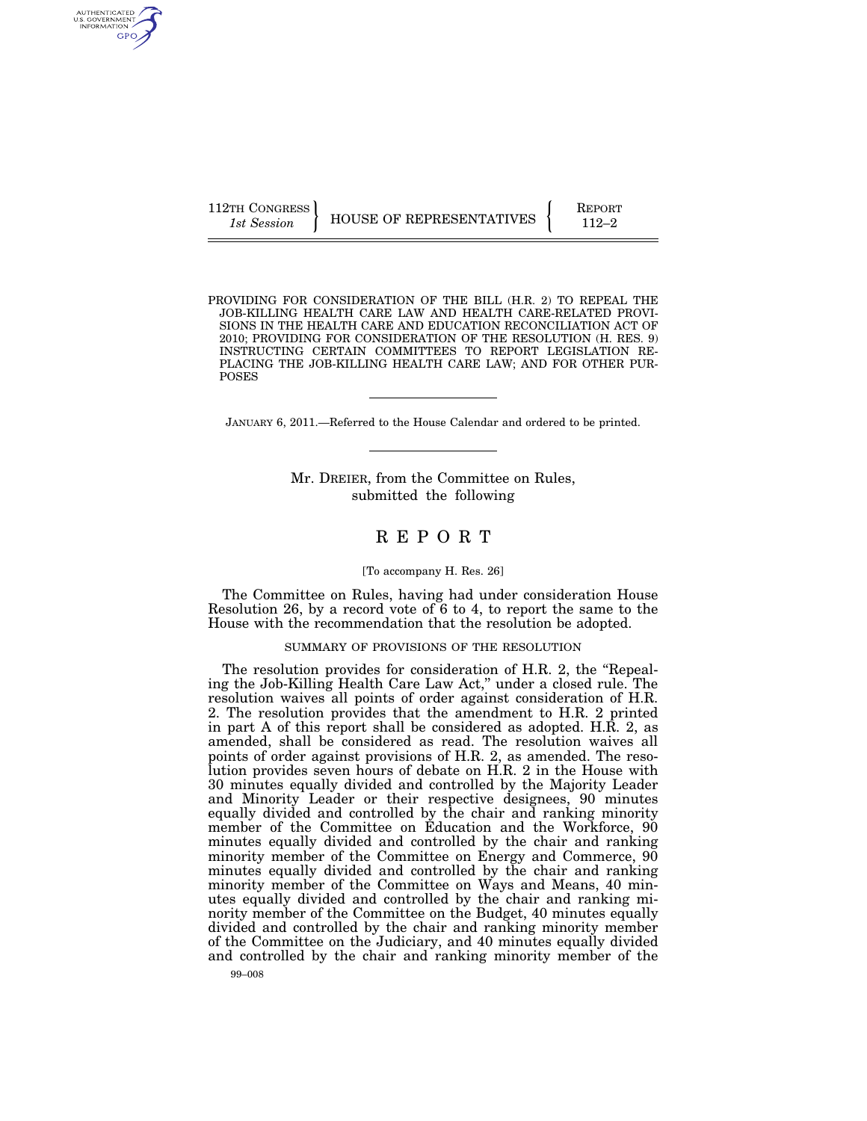AUTHENTICATED<br>U.S. GOVERNMENT<br>INFORMATION GPO

112TH CONGRESS **REPORT 112TH CONGRESS** HOUSE OF REPRESENTATIVES **FUNC** 

PROVIDING FOR CONSIDERATION OF THE BILL (H.R. 2) TO REPEAL THE JOB-KILLING HEALTH CARE LAW AND HEALTH CARE-RELATED PROVI-SIONS IN THE HEALTH CARE AND EDUCATION RECONCILIATION ACT OF 2010; PROVIDING FOR CONSIDERATION OF THE RESOLUTION (H. RES. 9) INSTRUCTING CERTAIN COMMITTEES TO REPORT LEGISLATION RE-PLACING THE JOB-KILLING HEALTH CARE LAW; AND FOR OTHER PUR-POSES

JANUARY 6, 2011.—Referred to the House Calendar and ordered to be printed.

Mr. DREIER, from the Committee on Rules, submitted the following

# R E P O R T

#### [To accompany H. Res. 26]

The Committee on Rules, having had under consideration House Resolution 26, by a record vote of  $6$  to 4, to report the same to the House with the recommendation that the resolution be adopted.

## SUMMARY OF PROVISIONS OF THE RESOLUTION

The resolution provides for consideration of H.R. 2, the "Repealing the Job-Killing Health Care Law Act,'' under a closed rule. The resolution waives all points of order against consideration of H.R. 2. The resolution provides that the amendment to H.R. 2 printed in part A of this report shall be considered as adopted. H.R. 2, as amended, shall be considered as read. The resolution waives all points of order against provisions of H.R. 2, as amended. The resolution provides seven hours of debate on H.R. 2 in the House with 30 minutes equally divided and controlled by the Majority Leader and Minority Leader or their respective designees, 90 minutes equally divided and controlled by the chair and ranking minority member of the Committee on Education and the Workforce, 90 minutes equally divided and controlled by the chair and ranking minority member of the Committee on Energy and Commerce, 90 minutes equally divided and controlled by the chair and ranking minority member of the Committee on Ways and Means, 40 minutes equally divided and controlled by the chair and ranking minority member of the Committee on the Budget, 40 minutes equally divided and controlled by the chair and ranking minority member of the Committee on the Judiciary, and 40 minutes equally divided and controlled by the chair and ranking minority member of the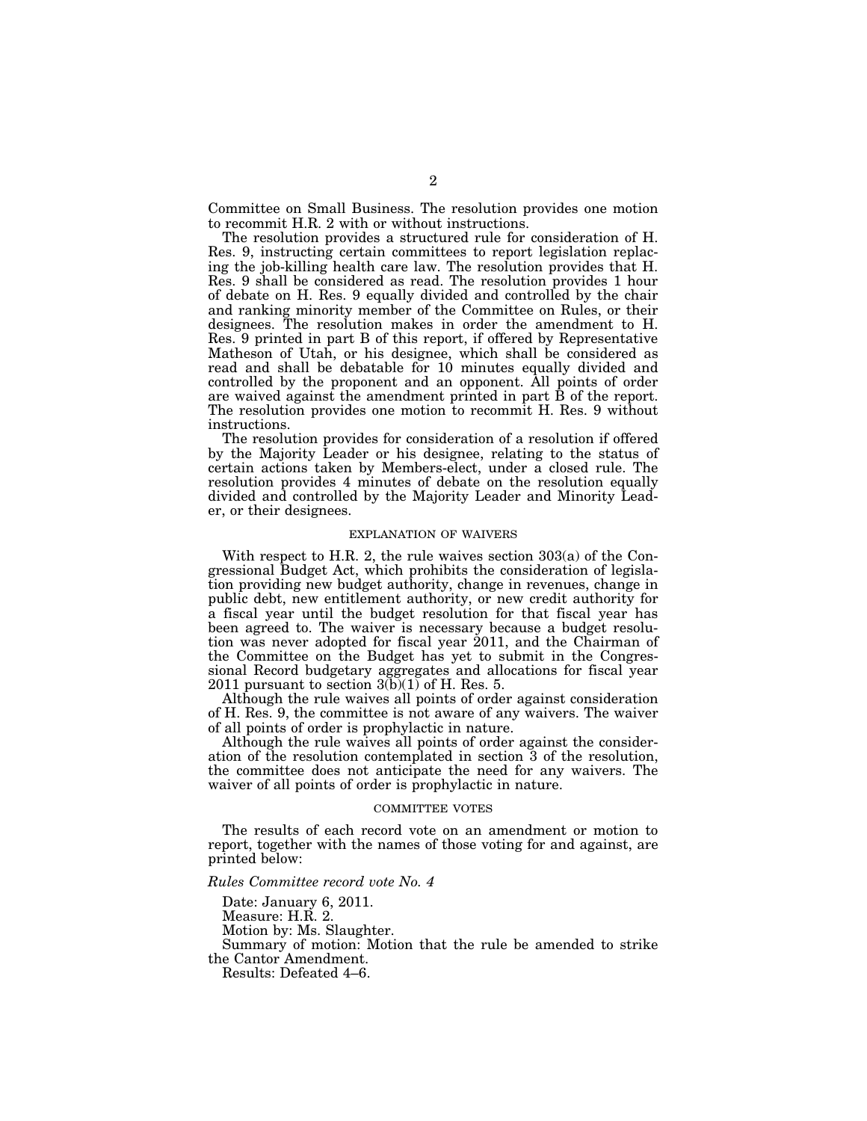Committee on Small Business. The resolution provides one motion to recommit H.R. 2 with or without instructions.

The resolution provides a structured rule for consideration of H. Res. 9, instructing certain committees to report legislation replacing the job-killing health care law. The resolution provides that H. Res. 9 shall be considered as read. The resolution provides 1 hour of debate on H. Res. 9 equally divided and controlled by the chair and ranking minority member of the Committee on Rules, or their designees. The resolution makes in order the amendment to H. Res. 9 printed in part B of this report, if offered by Representative Matheson of Utah, or his designee, which shall be considered as read and shall be debatable for 10 minutes equally divided and controlled by the proponent and an opponent. All points of order are waived against the amendment printed in part B of the report. The resolution provides one motion to recommit H. Res. 9 without instructions.

The resolution provides for consideration of a resolution if offered by the Majority Leader or his designee, relating to the status of certain actions taken by Members-elect, under a closed rule. The resolution provides 4 minutes of debate on the resolution equally divided and controlled by the Majority Leader and Minority Leader, or their designees.

#### EXPLANATION OF WAIVERS

With respect to H.R. 2, the rule waives section 303(a) of the Congressional Budget Act, which prohibits the consideration of legislation providing new budget authority, change in revenues, change in public debt, new entitlement authority, or new credit authority for a fiscal year until the budget resolution for that fiscal year has been agreed to. The waiver is necessary because a budget resolution was never adopted for fiscal year 2011, and the Chairman of the Committee on the Budget has yet to submit in the Congressional Record budgetary aggregates and allocations for fiscal year 2011 pursuant to section  $3(b)(1)$  of H. Res. 5.

Although the rule waives all points of order against consideration of H. Res. 9, the committee is not aware of any waivers. The waiver of all points of order is prophylactic in nature.

Although the rule waives all points of order against the consideration of the resolution contemplated in section 3 of the resolution, the committee does not anticipate the need for any waivers. The waiver of all points of order is prophylactic in nature.

#### COMMITTEE VOTES

The results of each record vote on an amendment or motion to report, together with the names of those voting for and against, are printed below:

#### *Rules Committee record vote No. 4*

Date: January 6, 2011.

Measure: H.R. 2.

Motion by: Ms. Slaughter.

Summary of motion: Motion that the rule be amended to strike the Cantor Amendment.

Results: Defeated 4–6.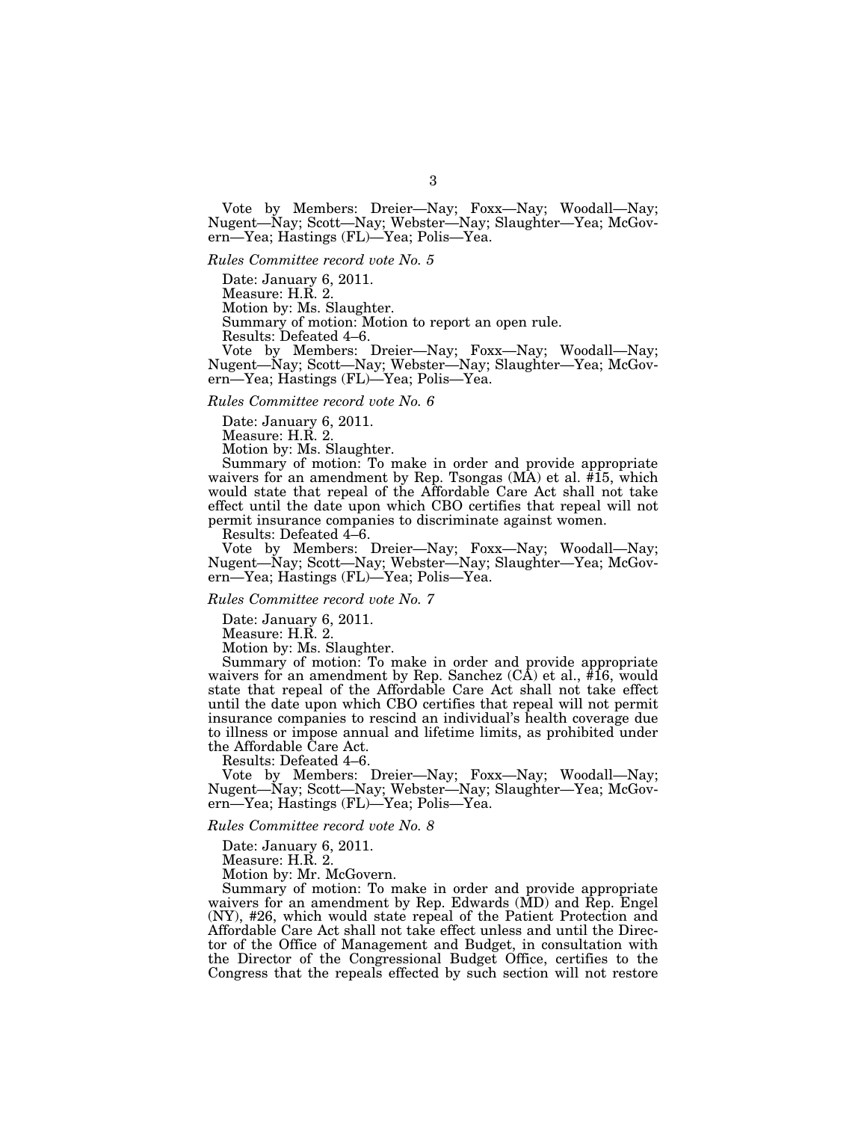Vote by Members: Dreier—Nay; Foxx—Nay; Woodall—Nay; Nugent—Nay; Scott—Nay; Webster—Nay; Slaughter—Yea; McGovern—Yea; Hastings (FL)—Yea; Polis—Yea.

*Rules Committee record vote No. 5* 

Date: January 6, 2011.

Measure: H.R. 2.

Motion by: Ms. Slaughter.

Summary of motion: Motion to report an open rule.

Results: Defeated 4–6.

Vote by Members: Dreier—Nay; Foxx—Nay; Woodall—Nay; Nugent—Nay; Scott—Nay; Webster—Nay; Slaughter—Yea; McGovern—Yea; Hastings (FL)—Yea; Polis—Yea.

#### *Rules Committee record vote No. 6*

Date: January 6, 2011.

Measure: H.R. 2.

Motion by: Ms. Slaughter.

Summary of motion: To make in order and provide appropriate waivers for an amendment by Rep. Tsongas  $(MA)$  et al.  $#15$ , which would state that repeal of the Affordable Care Act shall not take effect until the date upon which CBO certifies that repeal will not permit insurance companies to discriminate against women.

Results: Defeated 4–6.

Vote by Members: Dreier—Nay; Foxx—Nay; Woodall—Nay; Nugent—Nay; Scott—Nay; Webster—Nay; Slaughter—Yea; McGovern—Yea; Hastings (FL)—Yea; Polis—Yea.

# *Rules Committee record vote No. 7*

Date: January 6, 2011.

Measure: H.R. 2.

Motion by: Ms. Slaughter.

Summary of motion: To make in order and provide appropriate waivers for an amendment by Rep. Sanchez  $(C\bar{A})$  et al.,  $\hat{\#}16$ , would state that repeal of the Affordable Care Act shall not take effect until the date upon which CBO certifies that repeal will not permit insurance companies to rescind an individual's health coverage due to illness or impose annual and lifetime limits, as prohibited under the Affordable Care Act.

Results: Defeated 4–6.

Vote by Members: Dreier—Nay; Foxx—Nay; Woodall—Nay; Nugent—Nay; Scott—Nay; Webster—Nay; Slaughter—Yea; McGovern—Yea; Hastings (FL)—Yea; Polis—Yea.

## *Rules Committee record vote No. 8*

Date: January 6, 2011.

Measure: H.R. 2.

Motion by: Mr. McGovern.

Summary of motion: To make in order and provide appropriate waivers for an amendment by Rep. Edwards (MD) and Rep. Engel (NY), #26, which would state repeal of the Patient Protection and Affordable Care Act shall not take effect unless and until the Director of the Office of Management and Budget, in consultation with the Director of the Congressional Budget Office, certifies to the Congress that the repeals effected by such section will not restore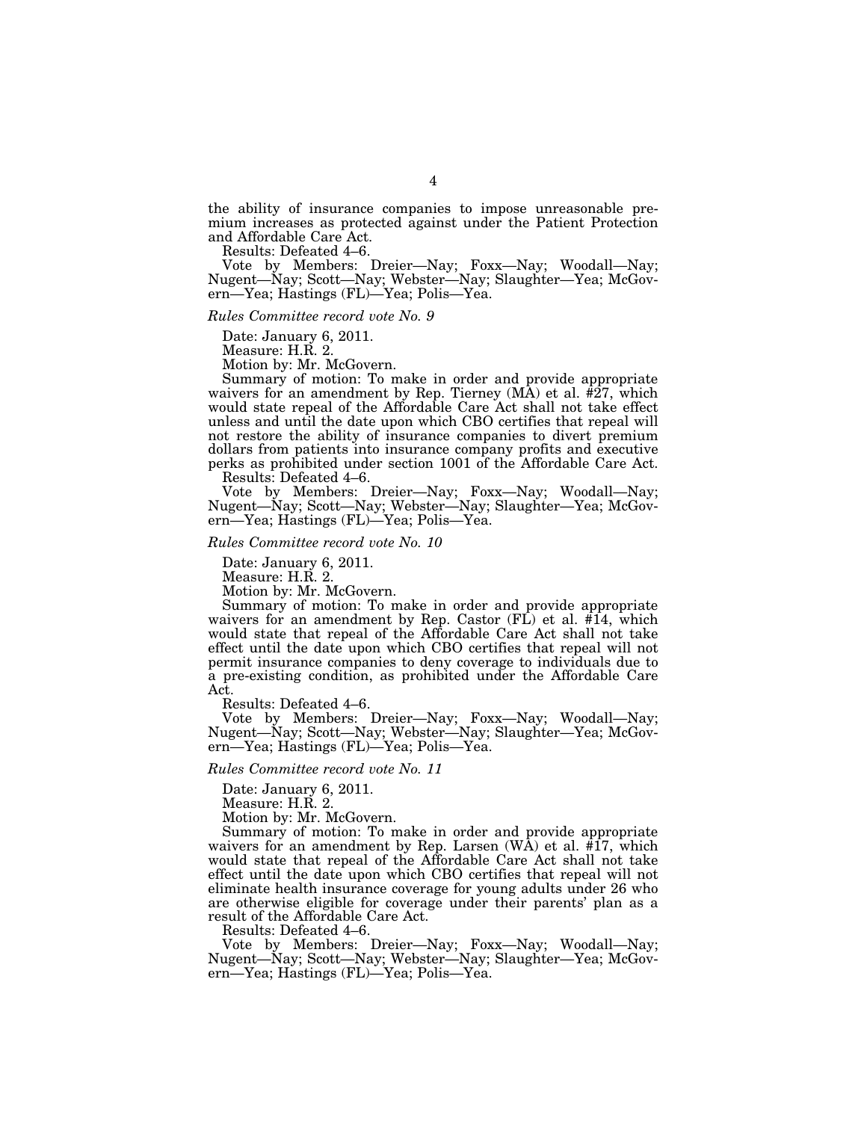the ability of insurance companies to impose unreasonable premium increases as protected against under the Patient Protection and Affordable Care Act.

Results: Defeated 4–6.

Vote by Members: Dreier—Nay; Foxx—Nay; Woodall—Nay; Nugent—Nay; Scott—Nay; Webster—Nay; Slaughter—Yea; McGovern—Yea; Hastings (FL)—Yea; Polis—Yea.

#### *Rules Committee record vote No. 9*

Date: January 6, 2011.

Measure: H.R. 2.

Motion by: Mr. McGovern.

Summary of motion: To make in order and provide appropriate waivers for an amendment by Rep. Tierney  $(MA)$  et al.  $\#27$ , which would state repeal of the Affordable Care Act shall not take effect unless and until the date upon which CBO certifies that repeal will not restore the ability of insurance companies to divert premium dollars from patients into insurance company profits and executive perks as prohibited under section 1001 of the Affordable Care Act. Results: Defeated 4–6.

Vote by Members: Dreier—Nay; Foxx—Nay; Woodall—Nay; Nugent—Nay; Scott—Nay; Webster—Nay; Slaughter—Yea; McGovern—Yea; Hastings (FL)—Yea; Polis—Yea.

#### *Rules Committee record vote No. 10*

Date: January 6, 2011.

Measure: H.R. 2.

Motion by: Mr. McGovern.

Summary of motion: To make in order and provide appropriate waivers for an amendment by Rep. Castor (FL) et al. #14, which would state that repeal of the Affordable Care Act shall not take effect until the date upon which CBO certifies that repeal will not permit insurance companies to deny coverage to individuals due to a pre-existing condition, as prohibited under the Affordable Care Act.

Results: Defeated 4–6.

Vote by Members: Dreier—Nay; Foxx—Nay; Woodall—Nay; Nugent—Nay; Scott—Nay; Webster—Nay; Slaughter—Yea; McGovern—Yea; Hastings (FL)—Yea; Polis—Yea.

## *Rules Committee record vote No. 11*

Date: January 6, 2011.

Measure: H.R. 2.

Motion by: Mr. McGovern.

Summary of motion: To make in order and provide appropriate waivers for an amendment by Rep. Larsen  $(W\AA)$  et al.  $\#17$ , which would state that repeal of the Affordable Care Act shall not take effect until the date upon which CBO certifies that repeal will not eliminate health insurance coverage for young adults under 26 who are otherwise eligible for coverage under their parents' plan as a result of the Affordable Care Act.

Results: Defeated 4–6.

Vote by Members: Dreier—Nay; Foxx—Nay; Woodall—Nay; Nugent—Nay; Scott—Nay; Webster—Nay; Slaughter—Yea; McGovern—Yea; Hastings (FL)—Yea; Polis—Yea.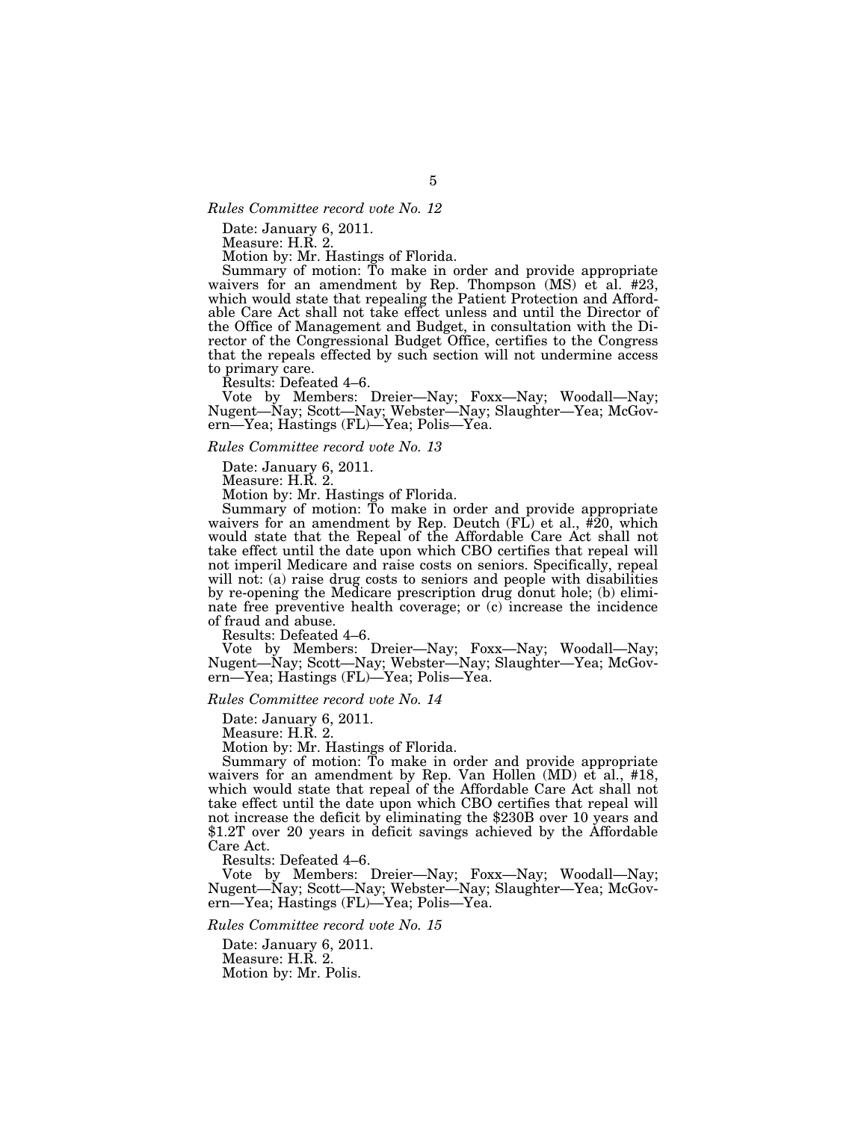# *Rules Committee record vote No. 12*

Date: January 6, 2011.

Measure: H.R. 2.

Motion by: Mr. Hastings of Florida.

Summary of motion: To make in order and provide appropriate waivers for an amendment by Rep. Thompson (MS) et al. #23, which would state that repealing the Patient Protection and Affordable Care Act shall not take effect unless and until the Director of the Office of Management and Budget, in consultation with the Director of the Congressional Budget Office, certifies to the Congress that the repeals effected by such section will not undermine access to primary care.

Results: Defeated 4–6.

Vote by Members: Dreier—Nay; Foxx—Nay; Woodall—Nay; Nugent—Nay; Scott—Nay; Webster—Nay; Slaughter—Yea; McGovern—Yea; Hastings (FL)—Yea; Polis—Yea.

#### *Rules Committee record vote No. 13*

Date: January 6, 2011.

Measure: H.R. 2.

Motion by: Mr. Hastings of Florida.

Summary of motion: To make in order and provide appropriate waivers for an amendment by Rep. Deutch (FL) et al., #20, which would state that the Repeal of the Affordable Care Act shall not take effect until the date upon which CBO certifies that repeal will not imperil Medicare and raise costs on seniors. Specifically, repeal will not: (a) raise drug costs to seniors and people with disabilities by re-opening the Medicare prescription drug donut hole; (b) eliminate free preventive health coverage; or (c) increase the incidence of fraud and abuse.

Results: Defeated 4–6.

Vote by Members: Dreier—Nay; Foxx—Nay; Woodall—Nay; Nugent—Nay; Scott—Nay; Webster—Nay; Slaughter—Yea; McGovern—Yea; Hastings (FL)—Yea; Polis—Yea.

*Rules Committee record vote No. 14* 

Date: January 6, 2011.

Measure: H.R. 2.

Motion by: Mr. Hastings of Florida.

Summary of motion: To make in order and provide appropriate waivers for an amendment by Rep. Van Hollen (MD) et al., #18, which would state that repeal of the Affordable Care Act shall not take effect until the date upon which CBO certifies that repeal will not increase the deficit by eliminating the \$230B over 10 years and \$1.2T over 20 years in deficit savings achieved by the Affordable Care Act.

Results: Defeated 4–6.

Vote by Members: Dreier—Nay; Foxx—Nay; Woodall—Nay; Nugent—Nay; Scott—Nay; Webster—Nay; Slaughter—Yea; McGovern—Yea; Hastings (FL)—Yea; Polis—Yea.

# *Rules Committee record vote No. 15*

Date: January 6, 2011. Measure: H.R. 2. Motion by: Mr. Polis.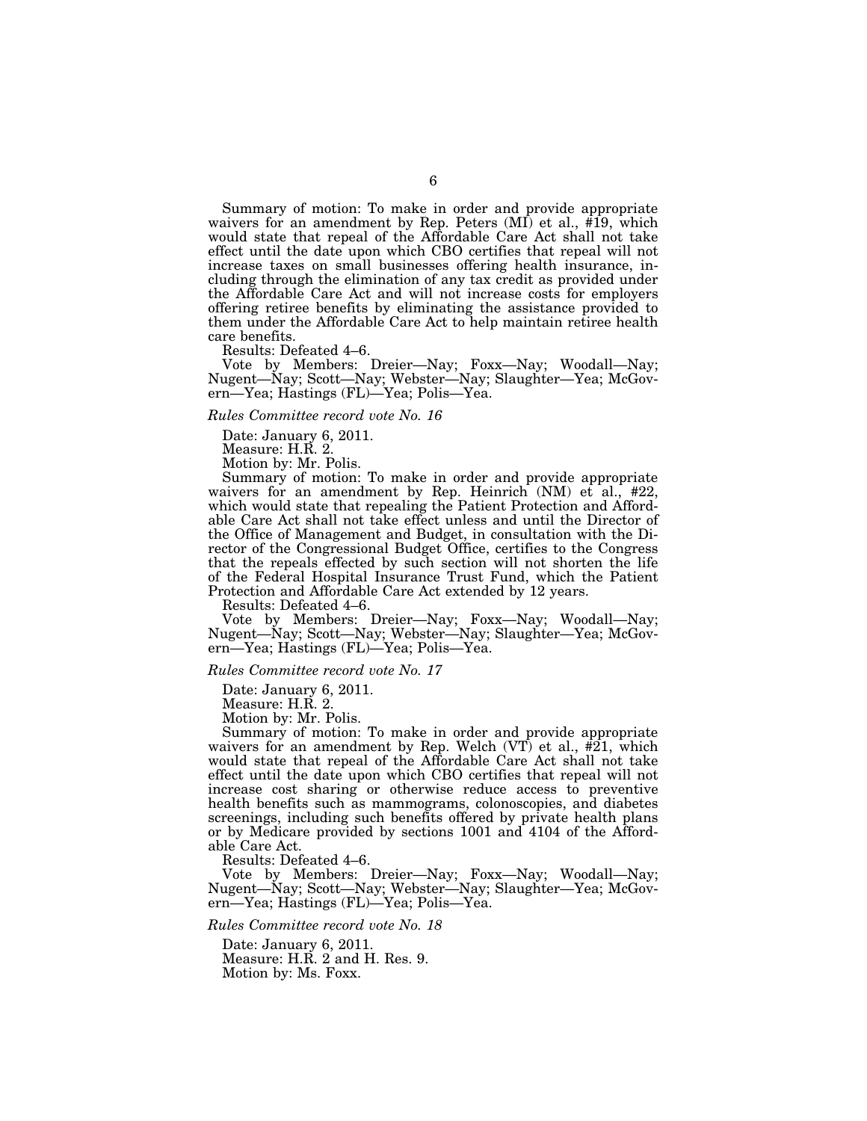Summary of motion: To make in order and provide appropriate waivers for an amendment by Rep. Peters (MI) et al., #19, which would state that repeal of the Affordable Care Act shall not take effect until the date upon which CBO certifies that repeal will not increase taxes on small businesses offering health insurance, including through the elimination of any tax credit as provided under the Affordable Care Act and will not increase costs for employers offering retiree benefits by eliminating the assistance provided to them under the Affordable Care Act to help maintain retiree health care benefits.

Results: Defeated 4–6.

Vote by Members: Dreier—Nay; Foxx—Nay; Woodall—Nay; Nugent—Nay; Scott—Nay; Webster—Nay; Slaughter—Yea; McGovern—Yea; Hastings (FL)—Yea; Polis—Yea.

# *Rules Committee record vote No. 16*

Date: January 6, 2011.

Measure: H.R. 2.

Motion by: Mr. Polis.

Summary of motion: To make in order and provide appropriate waivers for an amendment by Rep. Heinrich (NM) et al., #22, which would state that repealing the Patient Protection and Affordable Care Act shall not take effect unless and until the Director of the Office of Management and Budget, in consultation with the Director of the Congressional Budget Office, certifies to the Congress that the repeals effected by such section will not shorten the life of the Federal Hospital Insurance Trust Fund, which the Patient Protection and Affordable Care Act extended by 12 years.

Results: Defeated 4–6.

Vote by Members: Dreier—Nay; Foxx—Nay; Woodall—Nay; Nugent—Nay; Scott—Nay; Webster—Nay; Slaughter—Yea; McGovern—Yea; Hastings (FL)—Yea; Polis—Yea.

### *Rules Committee record vote No. 17*

Date: January 6, 2011.

Measure: H.R. 2.

Motion by: Mr. Polis.

Summary of motion: To make in order and provide appropriate waivers for an amendment by Rep. Welch (VT) et al., #21, which would state that repeal of the Affordable Care Act shall not take effect until the date upon which CBO certifies that repeal will not increase cost sharing or otherwise reduce access to preventive health benefits such as mammograms, colonoscopies, and diabetes screenings, including such benefits offered by private health plans or by Medicare provided by sections 1001 and 4104 of the Affordable Care Act.

Results: Defeated 4–6.

Vote by Members: Dreier—Nay; Foxx—Nay; Woodall—Nay; Nugent—Nay; Scott—Nay; Webster—Nay; Slaughter—Yea; McGovern—Yea; Hastings (FL)—Yea; Polis—Yea.

## *Rules Committee record vote No. 18*

Date: January 6, 2011. Measure: H.R. 2 and H. Res. 9. Motion by: Ms. Foxx.